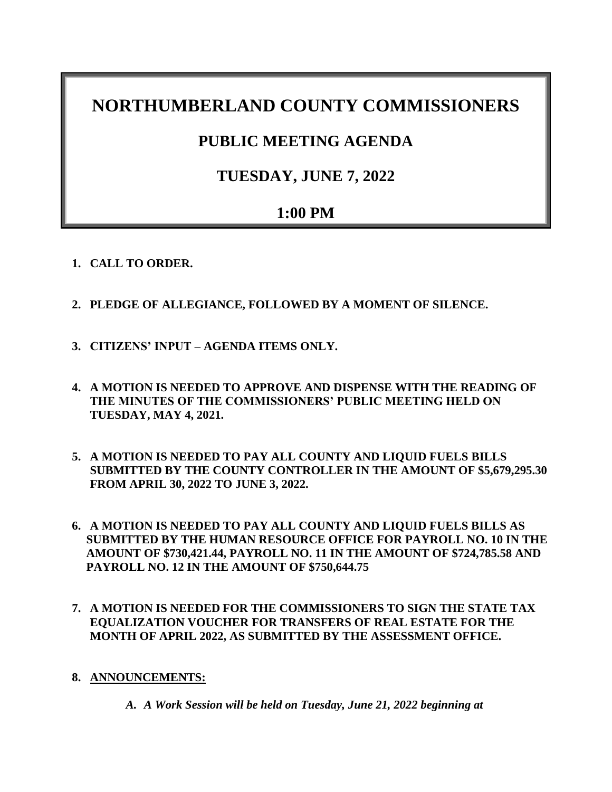# **NORTHUMBERLAND COUNTY COMMISSIONERS**

## **PUBLIC MEETING AGENDA**

## **TUESDAY, JUNE 7, 2022**

## **1:00 PM**

- **1. CALL TO ORDER.**
- **2. PLEDGE OF ALLEGIANCE, FOLLOWED BY A MOMENT OF SILENCE.**
- **3. CITIZENS' INPUT – AGENDA ITEMS ONLY.**
- **4. A MOTION IS NEEDED TO APPROVE AND DISPENSE WITH THE READING OF THE MINUTES OF THE COMMISSIONERS' PUBLIC MEETING HELD ON TUESDAY, MAY 4, 2021.**
- **5. A MOTION IS NEEDED TO PAY ALL COUNTY AND LIQUID FUELS BILLS SUBMITTED BY THE COUNTY CONTROLLER IN THE AMOUNT OF \$5,679,295.30 FROM APRIL 30, 2022 TO JUNE 3, 2022.**
- **6. A MOTION IS NEEDED TO PAY ALL COUNTY AND LIQUID FUELS BILLS AS SUBMITTED BY THE HUMAN RESOURCE OFFICE FOR PAYROLL NO. 10 IN THE AMOUNT OF \$730,421.44, PAYROLL NO. 11 IN THE AMOUNT OF \$724,785.58 AND PAYROLL NO. 12 IN THE AMOUNT OF \$750,644.75**
- **7. A MOTION IS NEEDED FOR THE COMMISSIONERS TO SIGN THE STATE TAX EQUALIZATION VOUCHER FOR TRANSFERS OF REAL ESTATE FOR THE MONTH OF APRIL 2022, AS SUBMITTED BY THE ASSESSMENT OFFICE.**
- **8. ANNOUNCEMENTS:**
	- *A. A Work Session will be held on Tuesday, June 21, 2022 beginning at*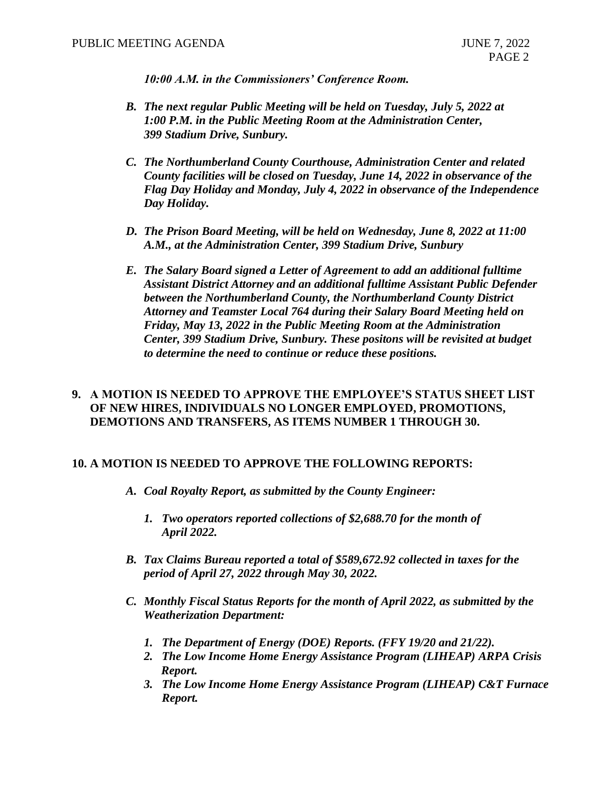*10:00 A.M. in the Commissioners' Conference Room.*

- *B. The next regular Public Meeting will be held on Tuesday, July 5, 2022 at 1:00 P.M. in the Public Meeting Room at the Administration Center, 399 Stadium Drive, Sunbury.*
- *C. The Northumberland County Courthouse, Administration Center and related County facilities will be closed on Tuesday, June 14, 2022 in observance of the Flag Day Holiday and Monday, July 4, 2022 in observance of the Independence Day Holiday.*
- *D. The Prison Board Meeting, will be held on Wednesday, June 8, 2022 at 11:00 A.M., at the Administration Center, 399 Stadium Drive, Sunbury*
- *E. The Salary Board signed a Letter of Agreement to add an additional fulltime Assistant District Attorney and an additional fulltime Assistant Public Defender between the Northumberland County, the Northumberland County District Attorney and Teamster Local 764 during their Salary Board Meeting held on Friday, May 13, 2022 in the Public Meeting Room at the Administration Center, 399 Stadium Drive, Sunbury. These positons will be revisited at budget to determine the need to continue or reduce these positions.*

## **9. A MOTION IS NEEDED TO APPROVE THE EMPLOYEE'S STATUS SHEET LIST OF NEW HIRES, INDIVIDUALS NO LONGER EMPLOYED, PROMOTIONS, DEMOTIONS AND TRANSFERS, AS ITEMS NUMBER 1 THROUGH 30.**

## **10. A MOTION IS NEEDED TO APPROVE THE FOLLOWING REPORTS:**

- *A. Coal Royalty Report, as submitted by the County Engineer:*
	- *1. Two operators reported collections of \$2,688.70 for the month of April 2022.*
- *B. Tax Claims Bureau reported a total of \$589,672.92 collected in taxes for the period of April 27, 2022 through May 30, 2022.*
- *C. Monthly Fiscal Status Reports for the month of April 2022, as submitted by the Weatherization Department:*
	- *1. The Department of Energy (DOE) Reports. (FFY 19/20 and 21/22).*
	- *2. The Low Income Home Energy Assistance Program (LIHEAP) ARPA Crisis Report.*
	- *3. The Low Income Home Energy Assistance Program (LIHEAP) C&T Furnace Report.*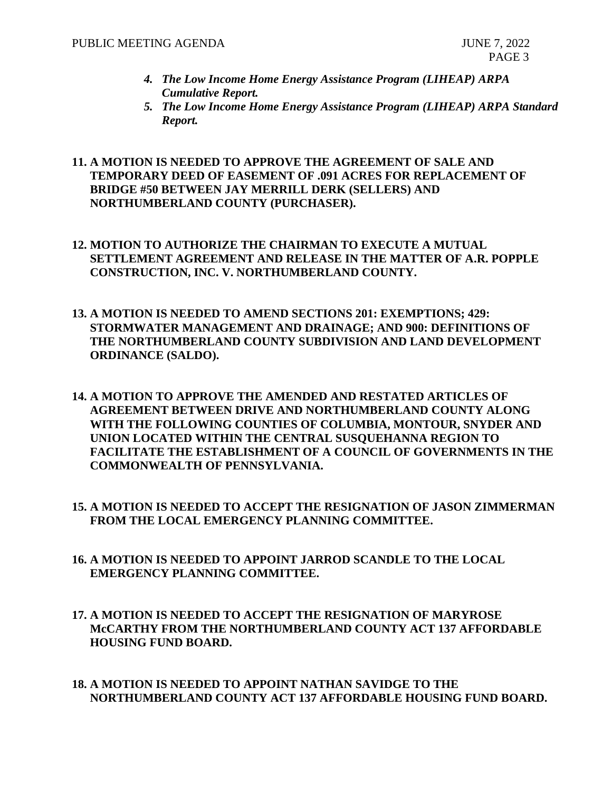- *4. The Low Income Home Energy Assistance Program (LIHEAP) ARPA Cumulative Report.*
- *5. The Low Income Home Energy Assistance Program (LIHEAP) ARPA Standard Report.*

## **11. A MOTION IS NEEDED TO APPROVE THE AGREEMENT OF SALE AND TEMPORARY DEED OF EASEMENT OF .091 ACRES FOR REPLACEMENT OF BRIDGE #50 BETWEEN JAY MERRILL DERK (SELLERS) AND NORTHUMBERLAND COUNTY (PURCHASER).**

- **12. MOTION TO AUTHORIZE THE CHAIRMAN TO EXECUTE A MUTUAL SETTLEMENT AGREEMENT AND RELEASE IN THE MATTER OF A.R. POPPLE CONSTRUCTION, INC. V. NORTHUMBERLAND COUNTY.**
- **13. A MOTION IS NEEDED TO AMEND SECTIONS 201: EXEMPTIONS; 429: STORMWATER MANAGEMENT AND DRAINAGE; AND 900: DEFINITIONS OF THE NORTHUMBERLAND COUNTY SUBDIVISION AND LAND DEVELOPMENT ORDINANCE (SALDO).**
- **14. A MOTION TO APPROVE THE AMENDED AND RESTATED ARTICLES OF AGREEMENT BETWEEN DRIVE AND NORTHUMBERLAND COUNTY ALONG WITH THE FOLLOWING COUNTIES OF COLUMBIA, MONTOUR, SNYDER AND UNION LOCATED WITHIN THE CENTRAL SUSQUEHANNA REGION TO FACILITATE THE ESTABLISHMENT OF A COUNCIL OF GOVERNMENTS IN THE COMMONWEALTH OF PENNSYLVANIA.**
- **15. A MOTION IS NEEDED TO ACCEPT THE RESIGNATION OF JASON ZIMMERMAN FROM THE LOCAL EMERGENCY PLANNING COMMITTEE.**
- **16. A MOTION IS NEEDED TO APPOINT JARROD SCANDLE TO THE LOCAL EMERGENCY PLANNING COMMITTEE.**
- **17. A MOTION IS NEEDED TO ACCEPT THE RESIGNATION OF MARYROSE McCARTHY FROM THE NORTHUMBERLAND COUNTY ACT 137 AFFORDABLE HOUSING FUND BOARD.**
- **18. A MOTION IS NEEDED TO APPOINT NATHAN SAVIDGE TO THE NORTHUMBERLAND COUNTY ACT 137 AFFORDABLE HOUSING FUND BOARD.**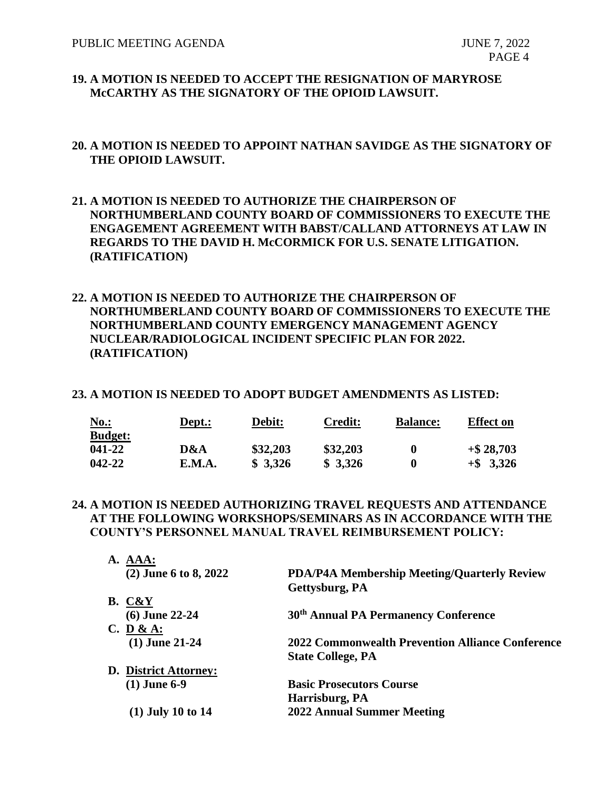## **19. A MOTION IS NEEDED TO ACCEPT THE RESIGNATION OF MARYROSE McCARTHY AS THE SIGNATORY OF THE OPIOID LAWSUIT.**

## **20. A MOTION IS NEEDED TO APPOINT NATHAN SAVIDGE AS THE SIGNATORY OF THE OPIOID LAWSUIT.**

- **21. A MOTION IS NEEDED TO AUTHORIZE THE CHAIRPERSON OF NORTHUMBERLAND COUNTY BOARD OF COMMISSIONERS TO EXECUTE THE ENGAGEMENT AGREEMENT WITH BABST/CALLAND ATTORNEYS AT LAW IN REGARDS TO THE DAVID H. McCORMICK FOR U.S. SENATE LITIGATION. (RATIFICATION)**
- **22. A MOTION IS NEEDED TO AUTHORIZE THE CHAIRPERSON OF NORTHUMBERLAND COUNTY BOARD OF COMMISSIONERS TO EXECUTE THE NORTHUMBERLAND COUNTY EMERGENCY MANAGEMENT AGENCY NUCLEAR/RADIOLOGICAL INCIDENT SPECIFIC PLAN FOR 2022. (RATIFICATION)**

#### **23. A MOTION IS NEEDED TO ADOPT BUDGET AMENDMENTS AS LISTED:**

| <u>No.:</u>    | Dept.: | Debit:   | <b>Credit:</b> | <b>Balance:</b> | <b>Effect</b> on |
|----------------|--------|----------|----------------|-----------------|------------------|
| <b>Budget:</b> |        |          |                |                 |                  |
| 041-22         | D&A    | \$32,203 | \$32,203       |                 | $+$ \$28,703     |
| 042-22         | E.M.A. | \$3,326  | \$3,326        |                 | $+$ \$ 3,326     |

**24. A MOTION IS NEEDED AUTHORIZING TRAVEL REQUESTS AND ATTENDANCE AT THE FOLLOWING WORKSHOPS/SEMINARS AS IN ACCORDANCE WITH THE COUNTY'S PERSONNEL MANUAL TRAVEL REIMBURSEMENT POLICY:**

| <b>PDA/P4A Membership Meeting/Quarterly Review</b> |
|----------------------------------------------------|
| Gettysburg, PA                                     |
|                                                    |
| 30 <sup>th</sup> Annual PA Permanency Conference   |
|                                                    |
| 2022 Commonwealth Prevention Alliance Conference   |
| <b>State College, PA</b>                           |
|                                                    |
| <b>Basic Prosecutors Course</b>                    |
| Harrisburg, PA                                     |
| <b>2022 Annual Summer Meeting</b>                  |
|                                                    |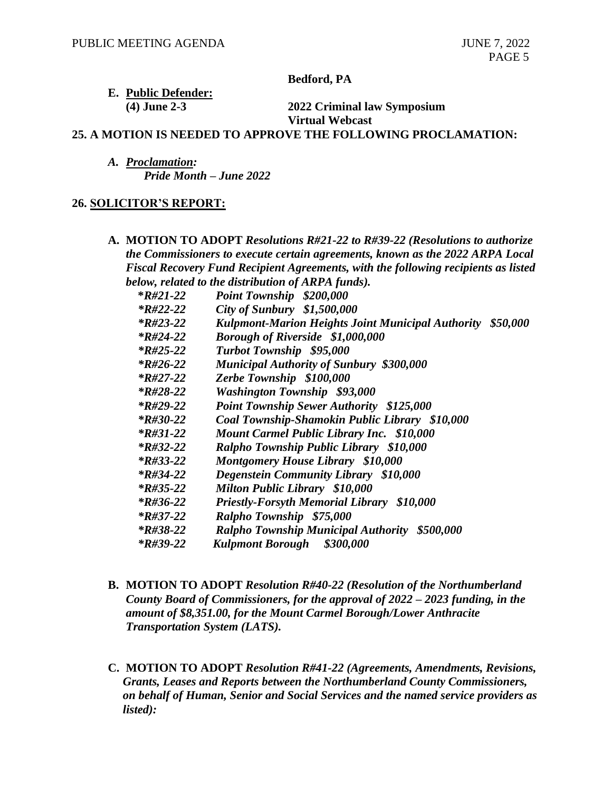**Bedford, PA**

## **E. Public Defender: (4) June 2-3 2022 Criminal law Symposium**

**Virtual Webcast**

#### **25. A MOTION IS NEEDED TO APPROVE THE FOLLOWING PROCLAMATION:**

*A. Proclamation: Pride Month – June 2022*

### **26. SOLICITOR'S REPORT:**

**A. MOTION TO ADOPT** *Resolutions R#21-22 to R#39-22 (Resolutions to authorize the Commissioners to execute certain agreements, known as the 2022 ARPA Local Fiscal Recovery Fund Recipient Agreements, with the following recipients as listed below, related to the distribution of ARPA funds).*

| $*R#21-22$             | Point Township \$200,000                                   |  |
|------------------------|------------------------------------------------------------|--|
| <i>*R#22-22</i>        | City of Sunbury \$1,500,000                                |  |
| $*R#23-22$             | Kulpmont-Marion Heights Joint Municipal Authority \$50,000 |  |
| $*R#24-22$             | <b>Borough of Riverside \$1,000,000</b>                    |  |
| $*R#25-22$             | Turbot Township \$95,000                                   |  |
| $*R#26-22$             | <b>Municipal Authority of Sunbury \$300,000</b>            |  |
| $*R#27-22$             | Zerbe Township \$100,000                                   |  |
| $*R#28-22$             | <b>Washington Township \$93,000</b>                        |  |
| $*R#29-22$             | <b>Point Township Sewer Authority \$125,000</b>            |  |
| $*R#30-22$             | Coal Township-Shamokin Public Library \$10,000             |  |
| $*R#31-22$             | <b>Mount Carmel Public Library Inc. \$10,000</b>           |  |
| $*R#32-22$             | Ralpho Township Public Library \$10,000                    |  |
| $*R#33-22$             | <b>Montgomery House Library \$10,000</b>                   |  |
| $*R#34-22$             | Degenstein Community Library \$10,000                      |  |
| $*R#35-22$             | <b>Milton Public Library \$10,000</b>                      |  |
| $*R#36-22$             | <b>Priestly-Forsyth Memorial Library \$10,000</b>          |  |
| <i>*R#37-22</i>        | Ralpho Township \$75,000                                   |  |
| <i><b>*R#38-22</b></i> | Ralpho Township Municipal Authority \$500,000              |  |
| $*R#39-22$             | Kulpmont Borough \$300,000                                 |  |
|                        |                                                            |  |

- **B. MOTION TO ADOPT** *Resolution R#40-22 (Resolution of the Northumberland County Board of Commissioners, for the approval of 2022 – 2023 funding, in the amount of \$8,351.00, for the Mount Carmel Borough/Lower Anthracite Transportation System (LATS).*
- **C. MOTION TO ADOPT** *Resolution R#41-22 (Agreements, Amendments, Revisions, Grants, Leases and Reports between the Northumberland County Commissioners, on behalf of Human, Senior and Social Services and the named service providers as listed):*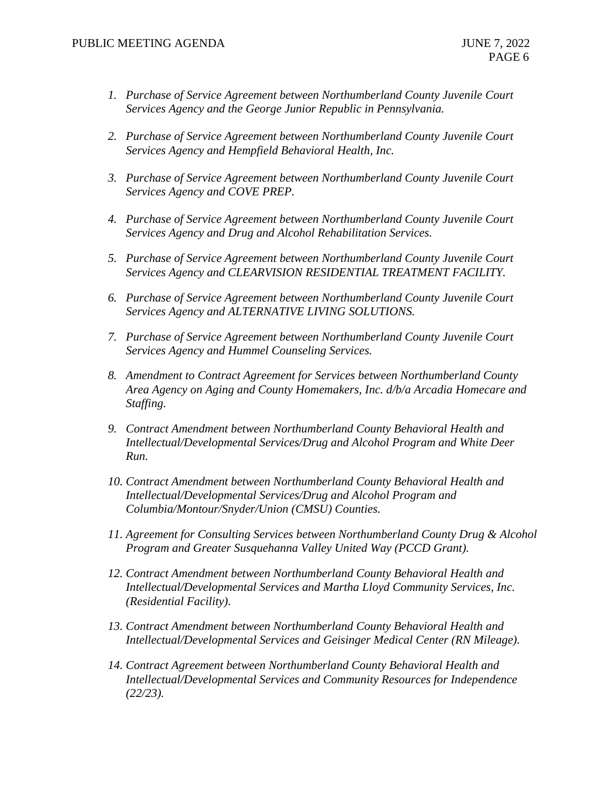- *1. Purchase of Service Agreement between Northumberland County Juvenile Court Services Agency and the George Junior Republic in Pennsylvania.*
- *2. Purchase of Service Agreement between Northumberland County Juvenile Court Services Agency and Hempfield Behavioral Health, Inc.*
- *3. Purchase of Service Agreement between Northumberland County Juvenile Court Services Agency and COVE PREP.*
- *4. Purchase of Service Agreement between Northumberland County Juvenile Court Services Agency and Drug and Alcohol Rehabilitation Services.*
- *5. Purchase of Service Agreement between Northumberland County Juvenile Court Services Agency and CLEARVISION RESIDENTIAL TREATMENT FACILITY.*
- *6. Purchase of Service Agreement between Northumberland County Juvenile Court Services Agency and ALTERNATIVE LIVING SOLUTIONS.*
- *7. Purchase of Service Agreement between Northumberland County Juvenile Court Services Agency and Hummel Counseling Services.*
- *8. Amendment to Contract Agreement for Services between Northumberland County Area Agency on Aging and County Homemakers, Inc. d/b/a Arcadia Homecare and Staffing.*
- *9. Contract Amendment between Northumberland County Behavioral Health and Intellectual/Developmental Services/Drug and Alcohol Program and White Deer Run.*
- *10. Contract Amendment between Northumberland County Behavioral Health and Intellectual/Developmental Services/Drug and Alcohol Program and Columbia/Montour/Snyder/Union (CMSU) Counties.*
- *11. Agreement for Consulting Services between Northumberland County Drug & Alcohol Program and Greater Susquehanna Valley United Way (PCCD Grant).*
- *12. Contract Amendment between Northumberland County Behavioral Health and Intellectual/Developmental Services and Martha Lloyd Community Services, Inc. (Residential Facility).*
- *13. Contract Amendment between Northumberland County Behavioral Health and Intellectual/Developmental Services and Geisinger Medical Center (RN Mileage).*
- *14. Contract Agreement between Northumberland County Behavioral Health and Intellectual/Developmental Services and Community Resources for Independence (22/23).*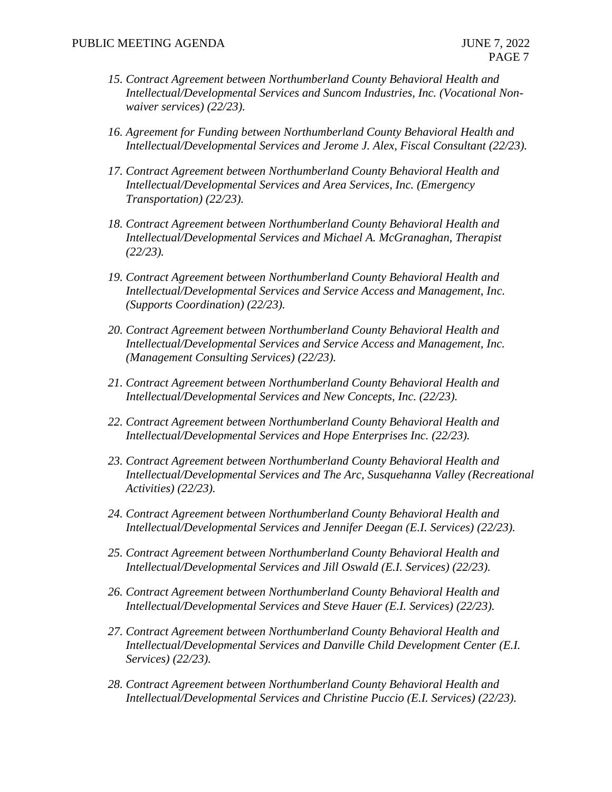- *15. Contract Agreement between Northumberland County Behavioral Health and Intellectual/Developmental Services and Suncom Industries, Inc. (Vocational Nonwaiver services) (22/23).*
- *16. Agreement for Funding between Northumberland County Behavioral Health and Intellectual/Developmental Services and Jerome J. Alex, Fiscal Consultant (22/23).*
- *17. Contract Agreement between Northumberland County Behavioral Health and Intellectual/Developmental Services and Area Services, Inc. (Emergency Transportation) (22/23).*
- *18. Contract Agreement between Northumberland County Behavioral Health and Intellectual/Developmental Services and Michael A. McGranaghan, Therapist (22/23).*
- *19. Contract Agreement between Northumberland County Behavioral Health and Intellectual/Developmental Services and Service Access and Management, Inc. (Supports Coordination) (22/23).*
- *20. Contract Agreement between Northumberland County Behavioral Health and Intellectual/Developmental Services and Service Access and Management, Inc. (Management Consulting Services) (22/23).*
- *21. Contract Agreement between Northumberland County Behavioral Health and Intellectual/Developmental Services and New Concepts, Inc. (22/23).*
- *22. Contract Agreement between Northumberland County Behavioral Health and Intellectual/Developmental Services and Hope Enterprises Inc. (22/23).*
- *23. Contract Agreement between Northumberland County Behavioral Health and Intellectual/Developmental Services and The Arc, Susquehanna Valley (Recreational Activities) (22/23).*
- *24. Contract Agreement between Northumberland County Behavioral Health and Intellectual/Developmental Services and Jennifer Deegan (E.I. Services) (22/23).*
- *25. Contract Agreement between Northumberland County Behavioral Health and Intellectual/Developmental Services and Jill Oswald (E.I. Services) (22/23).*
- *26. Contract Agreement between Northumberland County Behavioral Health and Intellectual/Developmental Services and Steve Hauer (E.I. Services) (22/23).*
- *27. Contract Agreement between Northumberland County Behavioral Health and Intellectual/Developmental Services and Danville Child Development Center (E.I. Services) (22/23).*
- *28. Contract Agreement between Northumberland County Behavioral Health and Intellectual/Developmental Services and Christine Puccio (E.I. Services) (22/23).*